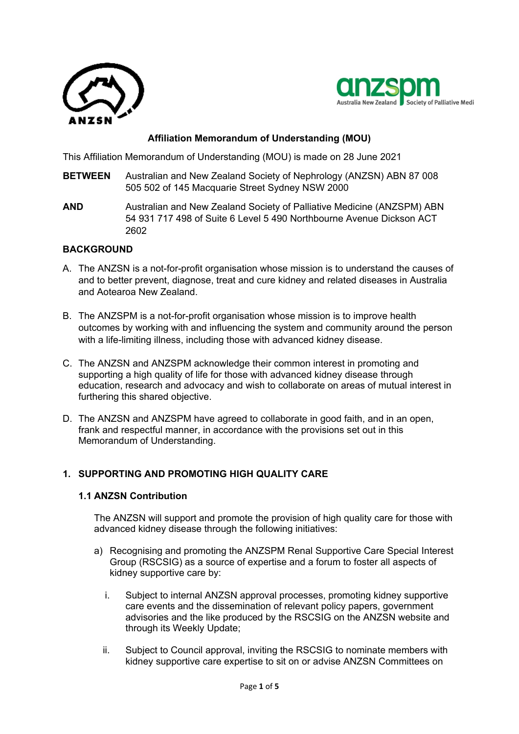



# **Affiliation Memorandum of Understanding (MOU)**

This Affiliation Memorandum of Understanding (MOU) is made on 28 June 2021

- **BETWEEN** Australian and New Zealand Society of Nephrology (ANZSN) ABN 87 008 505 502 of 145 Macquarie Street Sydney NSW 2000
- **AND** Australian and New Zealand Society of Palliative Medicine (ANZSPM) ABN 54 931 717 498 of Suite 6 Level 5 490 Northbourne Avenue Dickson ACT 2602

### **BACKGROUND**

- A. The ANZSN is a not-for-profit organisation whose mission is to understand the causes of and to better prevent, diagnose, treat and cure kidney and related diseases in Australia and Aotearoa New Zealand.
- B. The ANZSPM is a not-for-profit organisation whose mission is to improve health outcomes by working with and influencing the system and community around the person with a life-limiting illness, including those with advanced kidney disease.
- C. The ANZSN and ANZSPM acknowledge their common interest in promoting and supporting a high quality of life for those with advanced kidney disease through education, research and advocacy and wish to collaborate on areas of mutual interest in furthering this shared objective.
- D. The ANZSN and ANZSPM have agreed to collaborate in good faith, and in an open, frank and respectful manner, in accordance with the provisions set out in this Memorandum of Understanding.

## **1. SUPPORTING AND PROMOTING HIGH QUALITY CARE**

### **1.1 ANZSN Contribution**

The ANZSN will support and promote the provision of high quality care for those with advanced kidney disease through the following initiatives:

- a) Recognising and promoting the ANZSPM Renal Supportive Care Special Interest Group (RSCSIG) as a source of expertise and a forum to foster all aspects of kidney supportive care by:
	- i. Subject to internal ANZSN approval processes, promoting kidney supportive care events and the dissemination of relevant policy papers, government advisories and the like produced by the RSCSIG on the ANZSN website and through its Weekly Update;
	- ii. Subject to Council approval, inviting the RSCSIG to nominate members with kidney supportive care expertise to sit on or advise ANZSN Committees on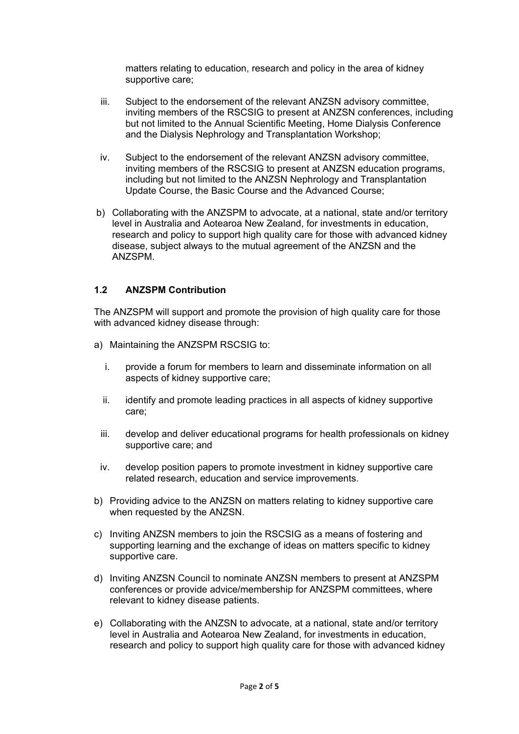matters relating to education, research and policy in the area of kidney supportive care;

- iii. Subject to the endorsement of the relevant ANZSN advisory committee, inviting members of the RSCSIG to present at ANZSN conferences, including but not limited to the Annual Scientific Meeting, Home Dialysis Conference and the Dialysis Nephrology and Transplantation Workshop;
- iv. Subject to the endorsement of the relevant ANZSN advisory committee, inviting members of the RSCSIG to present at ANZSN education programs, including but not limited to the ANZSN Nephrology and Transplantation Update Course, the Basic Course and the Advanced Course;
- b) Collaborating with the ANZSPM to advocate, at a national, state and/or territory level in Australia and Aotearoa New Zealand, for investments in education, research and policy to support high quality care for those with advanced kidney disease, subject always to the mutual agreement of the ANZSN and the ANZSPM.

### **1.2 ANZSPM Contribution**

The ANZSPM will support and promote the provision of high quality care for those with advanced kidney disease through:

- a) Maintaining the ANZSPM RSCSIG to:
	- i. provide a forum for members to learn and disseminate information on all aspects of kidney supportive care;
	- ii. identify and promote leading practices in all aspects of kidney supportive care;
	- iii. develop and deliver educational programs for health professionals on kidney supportive care; and
	- iv. develop position papers to promote investment in kidney supportive care related research, education and service improvements.
- b) Providing advice to the ANZSN on matters relating to kidney supportive care when requested by the ANZSN.
- c) Inviting ANZSN members to join the RSCSIG as a means of fostering and supporting learning and the exchange of ideas on matters specific to kidney supportive care.
- d) Inviting ANZSN Council to nominate ANZSN members to present at ANZSPM conferences or provide advice/membership for ANZSPM committees, where relevant to kidney disease patients.
- e) Collaborating with the ANZSN to advocate, at a national, state and/or territory level in Australia and Aotearoa New Zealand, for investments in education, research and policy to support high quality care for those with advanced kidney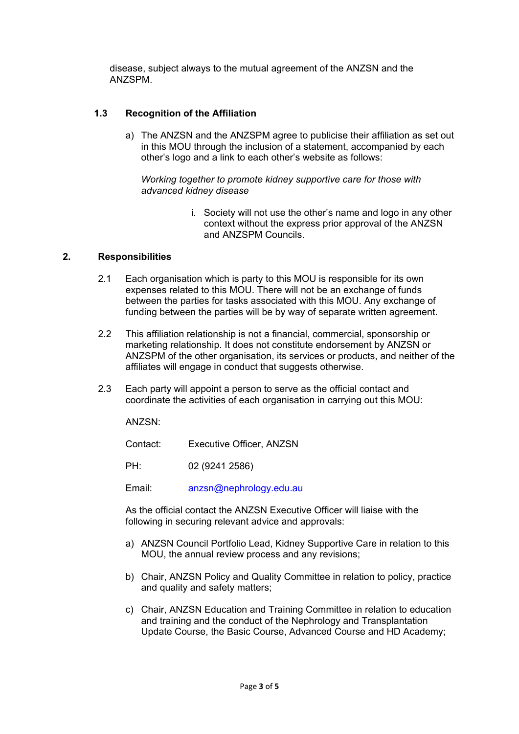disease, subject always to the mutual agreement of the ANZSN and the ANZSPM.

## **1.3 Recognition of the Affiliation**

a) The ANZSN and the ANZSPM agree to publicise their affiliation as set out in this MOU through the inclusion of a statement, accompanied by each other's logo and a link to each other's website as follows:

*Working together to promote kidney supportive care for those with advanced kidney disease*

> i. Society will not use the other's name and logo in any other context without the express prior approval of the ANZSN and ANZSPM Councils.

#### **2. Responsibilities**

- 2.1 Each organisation which is party to this MOU is responsible for its own expenses related to this MOU. There will not be an exchange of funds between the parties for tasks associated with this MOU. Any exchange of funding between the parties will be by way of separate written agreement.
- 2.2 This affiliation relationship is not a financial, commercial, sponsorship or marketing relationship. It does not constitute endorsement by ANZSN or ANZSPM of the other organisation, its services or products, and neither of the affiliates will engage in conduct that suggests otherwise.
- 2.3 Each party will appoint a person to serve as the official contact and coordinate the activities of each organisation in carrying out this MOU:

ANZSN:

Contact: Executive Officer, ANZSN

PH: 02 (9241 2586)

Email: [anzsn@nephrology.edu.au](mailto:anzsn@nephrology.edu.au)

As the official contact the ANZSN Executive Officer will liaise with the following in securing relevant advice and approvals:

- a) ANZSN Council Portfolio Lead, Kidney Supportive Care in relation to this MOU, the annual review process and any revisions;
- b) Chair, ANZSN Policy and Quality Committee in relation to policy, practice and quality and safety matters;
- c) Chair, ANZSN Education and Training Committee in relation to education and training and the conduct of the Nephrology and Transplantation Update Course, the Basic Course, Advanced Course and HD Academy;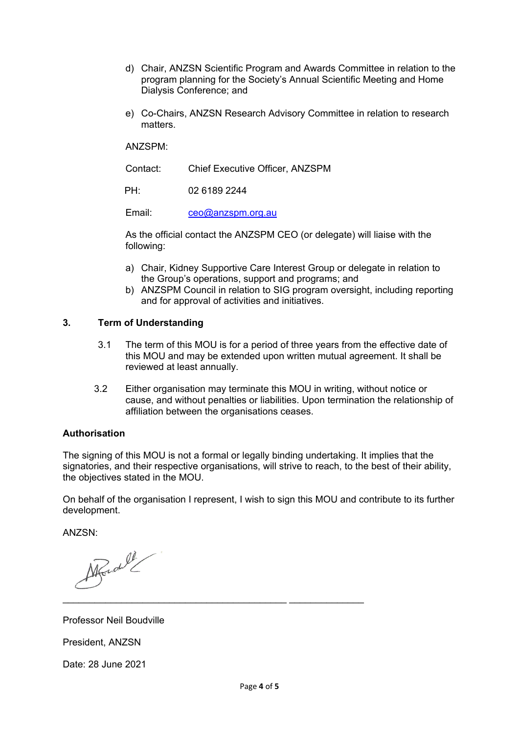- d) Chair, ANZSN Scientific Program and Awards Committee in relation to the program planning for the Society's Annual Scientific Meeting and Home Dialysis Conference; and
- e) Co-Chairs, ANZSN Research Advisory Committee in relation to research matters.

ANZSPM:

Contact: Chief Executive Officer, ANZSPM

PH: 02 6189 2244

Email: [ceo@anzspm.org.au](mailto:ceo@anzspm.org.au)

As the official contact the ANZSPM CEO (or delegate) will liaise with the following:

- a) Chair, Kidney Supportive Care Interest Group or delegate in relation to the Group's operations, support and programs; and
- b) ANZSPM Council in relation to SIG program oversight, including reporting and for approval of activities and initiatives.

### **3. Term of Understanding**

- 3.1 The term of this MOU is for a period of three years from the effective date of this MOU and may be extended upon written mutual agreement. It shall be reviewed at least annually.
- 3.2 Either organisation may terminate this MOU in writing, without notice or cause, and without penalties or liabilities. Upon termination the relationship of affiliation between the organisations ceases.

### **Authorisation**

The signing of this MOU is not a formal or legally binding undertaking. It implies that the signatories, and their respective organisations, will strive to reach, to the best of their ability, the objectives stated in the MOU.

On behalf of the organisation I represent, I wish to sign this MOU and contribute to its further development.

ANZSN:

March 2

Professor Neil Boudville

President, ANZSN

Date: 28 June 2021

\_\_\_\_\_\_\_\_\_\_\_\_\_\_\_\_\_\_\_\_\_\_\_\_\_\_\_\_\_\_\_\_\_\_\_\_\_\_\_\_\_\_ \_\_\_\_\_\_\_\_\_\_\_\_\_\_